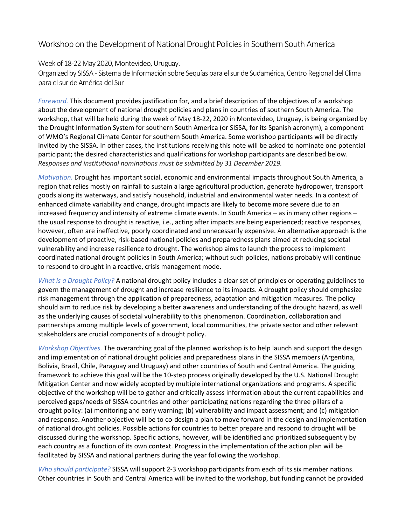## Workshop on the Development of National Drought Policies in Southern South America

Week of 18-22 May 2020, Montevideo, Uruguay.

Organized by SISSA - Sistema de Información sobre Sequías para el sur de Sudamérica, Centro Regional del Clima para el sur de América del Sur

*Foreword.* This document provides justification for, and a brief description of the objectives of a workshop about the development of national drought policies and plans in countries of southern South America. The workshop, that will be held during the week of May 18-22, 2020 in Montevideo, Uruguay, is being organized by the Drought Information System for southern South America (or SISSA, for its Spanish acronym), a component of WMO's Regional Climate Center for southern South America. Some workshop participants will be directly invited by the SISSA. In other cases, the institutions receiving this note will be asked to nominate one potential participant; the desired characteristics and qualifications for workshop participants are described below. *Responses and institutional nominations must be submitted by 31 December 2019.*

*Motivation.* Drought has important social, economic and environmental impacts throughout South America, a region that relies mostly on rainfall to sustain a large agricultural production, generate hydropower, transport goods along its waterways, and satisfy household, industrial and environmental water needs. In a context of enhanced climate variability and change, drought impacts are likely to become more severe due to an increased frequency and intensity of extreme climate events. In South America – as in many other regions – the usual response to drought is reactive, i.e., acting after impacts are being experienced; reactive responses, however, often are ineffective, poorly coordinated and unnecessarily expensive. An alternative approach is the development of proactive, risk-based national policies and preparedness plans aimed at reducing societal vulnerability and increase resilience to drought. The workshop aims to launch the process to implement coordinated national drought policies in South America; without such policies, nations probably will continue to respond to drought in a reactive, crisis management mode.

*What is a Drought Policy?* A national drought policy includes a clear set of principles or operating guidelines to govern the management of drought and increase resilience to its impacts. A drought policy should emphasize risk management through the application of preparedness, adaptation and mitigation measures. The policy should aim to reduce risk by developing a better awareness and understanding of the drought hazard, as well as the underlying causes of societal vulnerability to this phenomenon. Coordination, collaboration and partnerships among multiple levels of government, local communities, the private sector and other relevant stakeholders are crucial components of a drought policy.

*Workshop Objectives.* The overarching goal of the planned workshop is to help launch and support the design and implementation of national drought policies and preparedness plans in the SISSA members (Argentina, Bolivia, Brazil, Chile, Paraguay and Uruguay) and other countries of South and Central America. The guiding framework to achieve this goal will be the 10-step process originally developed by the U.S. National Drought Mitigation Center and now widely adopted by multiple international organizations and programs. A specific objective of the workshop will be to gather and critically assess information about the current capabilities and perceived gaps/needs of SISSA countries and other participating nations regarding the three pillars of a drought policy: (a) monitoring and early warning; (b) vulnerability and impact assessment; and (c) mitigation and response. Another objective will be to co-design a plan to move forward in the design and implementation of national drought policies. Possible actions for countries to better prepare and respond to drought will be discussed during the workshop. Specific actions, however, will be identified and prioritized subsequently by each country as a function of its own context. Progress in the implementation of the action plan will be facilitated by SISSA and national partners during the year following the workshop.

*Who should participate?* SISSA will support 2-3 workshop participants from each of its six member nations. Other countries in South and Central America will be invited to the workshop, but funding cannot be provided